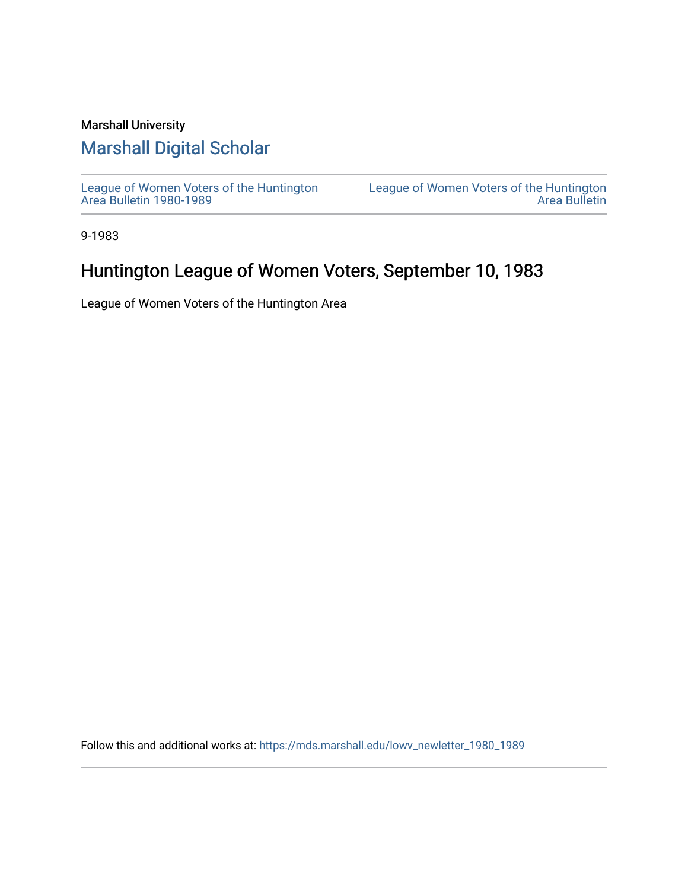# Marshall University

# [Marshall Digital Scholar](https://mds.marshall.edu/)

[League of Women Voters of the Huntington](https://mds.marshall.edu/lowv_newletter_1980_1989) [Area Bulletin 1980-1989](https://mds.marshall.edu/lowv_newletter_1980_1989) 

[League of Women Voters of the Huntington](https://mds.marshall.edu/lowv_newsletter)  [Area Bulletin](https://mds.marshall.edu/lowv_newsletter) 

9-1983

# Huntington League of Women Voters, September 10, 1983

League of Women Voters of the Huntington Area

Follow this and additional works at: [https://mds.marshall.edu/lowv\\_newletter\\_1980\\_1989](https://mds.marshall.edu/lowv_newletter_1980_1989?utm_source=mds.marshall.edu%2Flowv_newletter_1980_1989%2F25&utm_medium=PDF&utm_campaign=PDFCoverPages)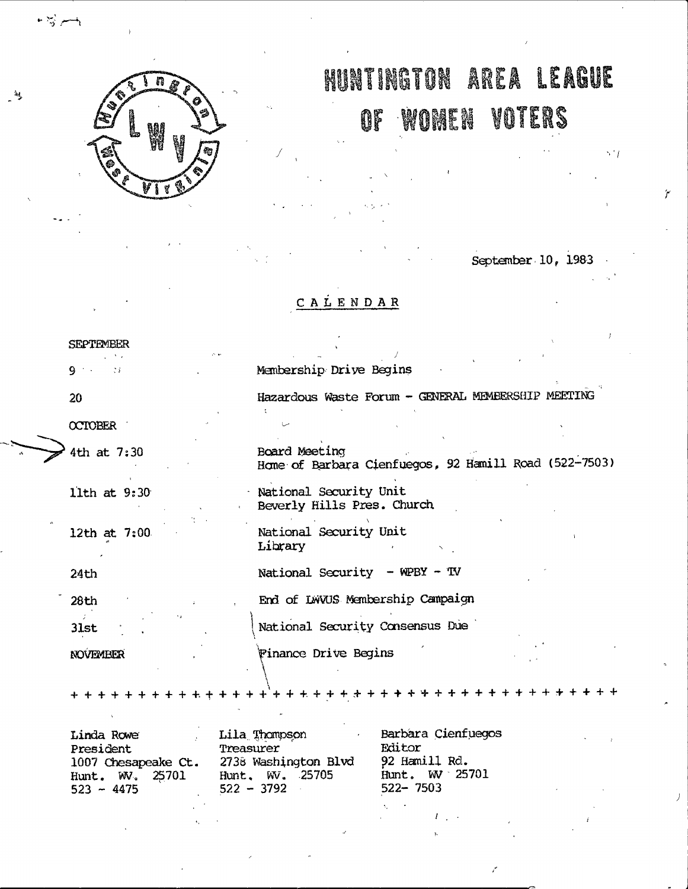

# **RUNTINGTON AREA LEAGUE**

#### **WOMEN VOTERS** OF

September 10, 1983

 $5.11$ 

# CALENDAR

Membership Drive Begins

Board Meeting

**SEPTEMBER** 

 $9 + 1$  $\mathcal{I}$ 

 $20<sub>1</sub>$ 

 $\bullet$   $\frac{1}{20}$  and  $\bullet$ 

OCTOBER

4th at 7:30

11th at 9:30

12th at 7:00

24th

28th 31st

NOVEMBER

National Security Unit Library

Beverly Hills Pres. Church

National Security Unit

National Security - WPBY - TV

End of LWVUS Membership Campaign

National Security Consensus Due

Finance Drive Begins

 $+ + +$ 

Lila Thompson Linda Rowe President Treasurer 2738 Washington Blvd 1007 Chesapeake Ct. Hunt. W. 25701 Hunt. WV. 25705<br>522 - 3792  $523 - 4475$ 

Barbara Cienfuegos Editor 92 Hamill Rd. Hunt. W 25701 522-7503

Hazardous Waste Forum - GENERAL MEMBERSHIP MEETING

Home of Barbara Cienfuegos, 92 Hamill Road (522-7503)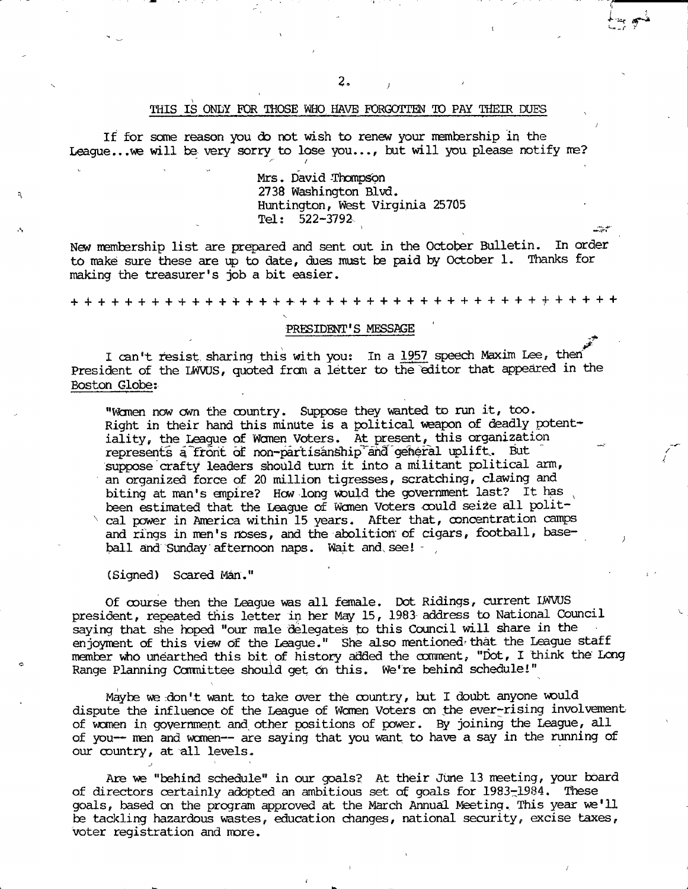#### THIS IS ONLY FOR THOSE WHO HAVE FORGOTTEN TO PAY THEIR DUES

If for some reason you do not wish to renew your membership in the **League...we will be very sorry to lose you..., tut will you please notify ne?**  $\mathscr{E} = \mathscr{E}$ 

> Mrs. David Thompson **2738 Washington Bivd. Huntington, Vfest Virginia 25705 Tel; 522-3792.**

**New manhership list are prepared and sent out in the October Bulletin. In order to make sure these are ip to date, dues must be paid by October 1. Thanks for making the treasurer's job a bit easier.**

**+++++++++++++++++++++++++++++++++++++++++**

#### PRESIDENT'S MESSAGE

I can't resist, sharing this with you: In a 1957 speech Maxim Lee, then President of the IWVUS, quoted from a letter to the editor that appeared in the **Boston Globe;**

**"Wtmai now cwn the country. Suppose they wanted to run it, too. Right in their hand this minute is a political weapon of deadly potent**iality, the League of Women Voters. At present, this organization represents a front of non-partisanship and general uplift. But suppose crafty leaders should turn it into a militant political arm, **an organized force of 20 million tigresses, scratching, clawing and** biting at man's empire? How long would the government last? It has **been estimated that the League of Wcmen Voters could seize all polit**cal power in America within 15 years. After that, concentration camps and rings in men's noses, and the abolition of cigars, football, base**ball and Gunday afternoon naps. Wait and. see! - ,**

**(Signed) Scared Man."**

**Of course then the League was all female. Dot Ridings, current IWVUS president, repeated this letter in her May 15, 1983- address to National (Council saying that she hoped "our male delegates to this Council will share in the** enjoyment of this view of the League." She also mentioned that the League staff member who unearthed this bit of history added the comment, "Dot, I think the Long Range Planning Committee should get on this. We're behind schedule!"

**Maybe we ;don't want to take over the country, but I doubt anyone would** dispute the influence of the League of Women Voters on the ever-rising involvement of women in government and other positions of power. By joining the League, all **of you— men and wcmen— are saying that you want to have a say in the running of our oountiy, at all levels.** *^ '*

**Are ve "behind schedule" in our goals? At their June 13 neeting, your board of directors certainly adopted an ambitious set of goals for 1983-1984. These goals, based cn the program ^proved at the March Annual Meeting. This year we'll be tackling hazardous wastes, education changes, national security, excise taxes, voter registration and more.**

**^ j.** 1 **1** *a. / 1 a. / 1 a. / 1 a. / 1 a.* **/ 1 a. / 1 a. / 1 a. / 1 a. / 1 a. / 1 a. / 1 a. / 1 a. / 1 a. / 1 a. / 1 a. / 1 a. / 1 a. / 1 a. / 1 a. / 1 a. / 1 a. / 1 a. / 1 a. / 1 a. / 1 a. / 1 a. / 1 a. / 1 a. / 1 a. / 1 a. /** 

*j*

**->r**

**/**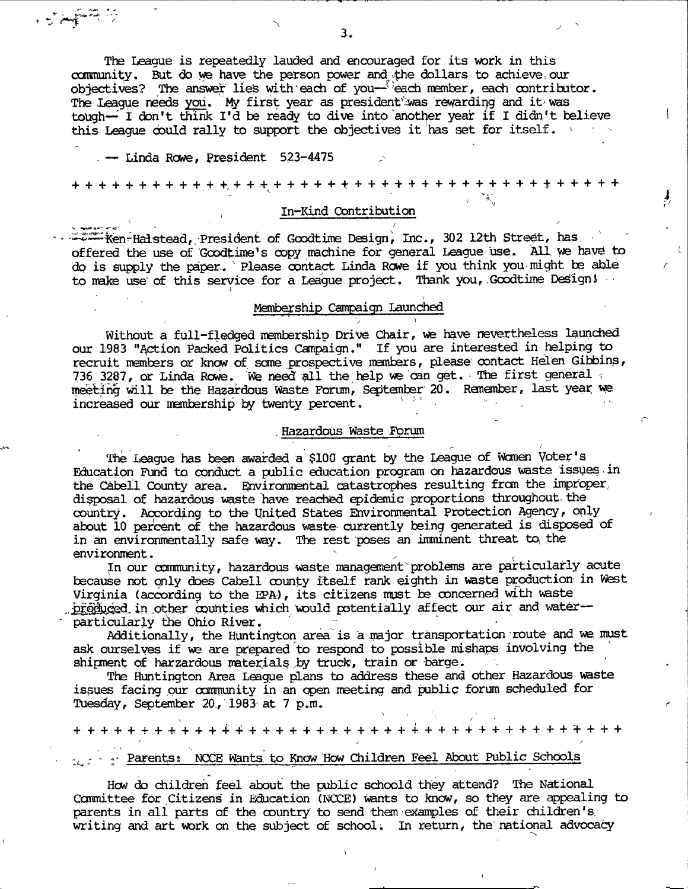**The League is repeatedly lauded and encouraged for its work in this** community. But do we have the person power and the dollars to achieve, our objectives? The answer lies with each of you— <sup>p</sup>each member, each contributor. The League needs you. My first year as president was rewarding and it was tough— I don't think I'd be ready to dive into another year if I didn't believe this League could rally to support the objectives it has set for itself. **All the set of the set of the set of the set of the set of the set of the set of the set of the set of the set of the set of the set of the set of t** 

**— Linda Rcwe, president 523-4475**

t,-

**+ + + + + + + + + + + +j+ + + + + + + + + + + t + t + + 'ttttt + + -jr + + + + +**

 $\mathbf{I}$ 

### In-Kind Contribution

**\* "Ken-Haistead, President of Goodtime Design, Inc., 302 12th Street, has offered the use of Goodtinie's oopy machine for general League use. All, we have to dp is supply the papen. ' Please contact Linda Rowe if you think you micht te able to make use' of this service for a League project. Thank you,.Goodtime DeSigni**

#### **Mgnbership Campaign Launched**

Without a full-fledged membership Drive Chair, we have nevertheless launched our 1983 "Action Packed Politics Campaign." If you are interested in helping to **recruit manbers or know of sane prospective inambers, please contact Helen Gitoins, 736 3287, or Linda Rowe. We need all toe help we can get. The first general ;** meeting will be the Hazardous Waste Forum, September 20. Remember, last year we **increased our membership by twenty percent,**

#### **, Hazardous Waste Forum**

The League has been awarded a \$100 grant by the League of Women Voter's **Education Fund to conduct a public education program on hazardous waste issues in the cabell County area. Hnvironmental catastroj^es resulting fron the iirproper,** disposal of hazardous waste have reached epidemic proportions throughout the **country. According to the Hnited States Environmental protection** *I^enc***^ , only** about 10 percent of the hazardous waste currently being generated is disposed of **in an environmentally safe way. The rest poses an imminent threat to, the environment. '**

**In our ooranunity, hazardous waste management'problems are particularly acute** because not only does Cabell county itself rank eighth in waste production in West Virginia (according to the EPA), its citizens must be concerned with waste **ih-\*other wunties vhich vould potentially affect our air and water** particularly the Ohio River.

**Additionally, the Huntington area is a major transportation route and we, must ask ourselves if we are prepared to respond to possible mishaps involving the shipanent of harzardous materials** *py* **truck, train or barge.**

The Huntington Area League plans to address these and other Hazardous waste **issues facing our ccmmunity in an open meeting and public forum scheduled for Tuesday, September 20, 1983-at 7 p.m.**

**\** *^* **+ + + + + + + + + + + 4-4 + + + + + + + + + + + + + + + + + + + + + + + + ^ + + + / :/**

# **Parents: NCCE Wants to Know How Children Feel About Public Schools**

**How do children feel about the public schoold they attend? The National Committee for Citizens in Education (l\KXE) vants to know, so they are ^pealing to parents in all parts Of the country to send them exanples of their children's, writing and art work on the subject of schools In return, the national advocacy**

**3.**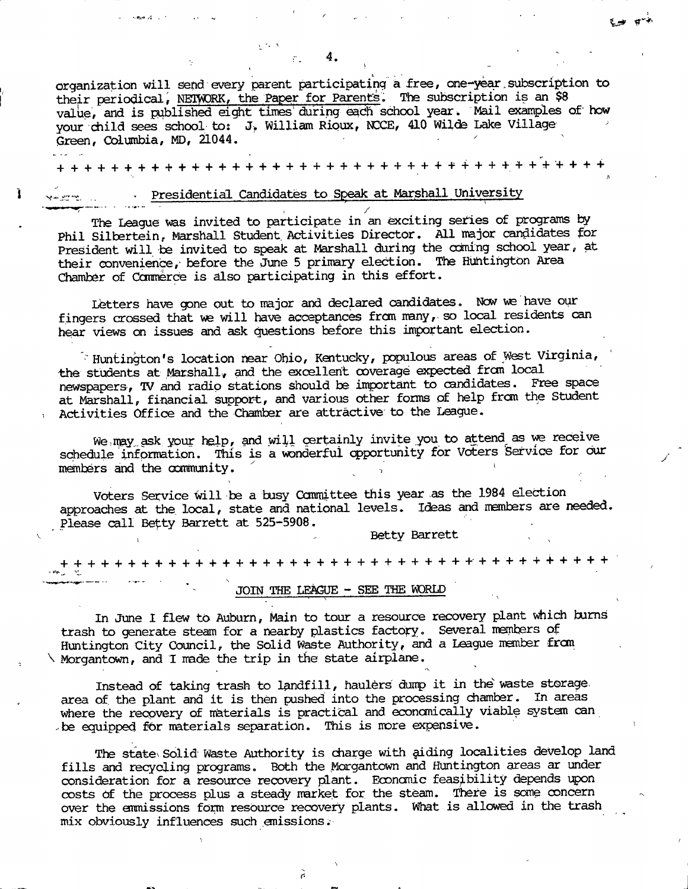**organization will send every parent participating a free, one-year.subscription to** their periodical, NETWORK, the Paper for Parents. The subscription is an \$8 value, and is published eight times during each school year. Mail examples of how **yoior child sees school to: J> William Rioux, NCCE, 410 Wilde Lake Village " Green, Cdumbia, MD, ZL044.** *■ '*

**+ + + + + ^. + + + +** 4**. + + +** 4**- + + + + + + + + + + + + + + + + + + + + + + + + + +**

## **I Presidential Candidates to Speak at Marshall University**

The League was invited to participate in an exciting series of programs by **Phil Silbertein, Marshall Student, Activities Director. All major candidates for President will be invited to speak at Marshall during the odming school year, at** their convenience, before the June 5 primary election. The Huntington Area **Chamber of Commerce is also participating in this effort.**

Letters have gone out to major and declared candidates. Now we have our fingers crossed that we will have acceptances from many, so local residents can **hear views ca issues and ask cjuestions before this inportant election.**

**Huntin^on's location rear Ohio, Keitucty, pcpulous areas of West Virginia, •the students at Marshall^ and the excellent coverage expected frctn local newspapers, TV and radio stations should be inportant to candidates. Free space** at Marshall, financial support, and various other forms of help from the Student 1 **Activities Offica and the Chamber are attractive to the League.**

We may ask your help, and will certainly invite you to attend as we receive **schedule information. This is a wonderful opportunity for Voters Service for ciur** members and the community.

**Voters Service Will be a busy Conmittee this year as the 1984 election approaches at the local, state and nationeil levels. Ideas and members are needed. Please call Befty Barrett at 525-5908.**

Betty Barrett

**+ + + + + + + + + + -i--f + + + + 'f + + + + + + -t + + + + + + + + t + + '\*' + '+''^"^'\*'**

#### JOIN THE LEAGUE - SEE THE WORLD

In June I flew to Auburn, Main to tour a resource recovery plant which burns trash to generate steam for a nearby plastics factory. Several members of **Huntington City Council, the Solid Waste Authority, and a League manber frcm \ Morgantown, and I made the trip in the state airplane.**

Instead of taking trash to landfill, haulers dump it in the waste storage. area of the plant and it is then pushed into the processing chamber. In areas where the recovery of materials is practical and economically viable system can be equipped for materials separation. This is more expensive.

The state Solid Waste Authority is charge with aiding localities develop land fills and recycling programs. Both the Morgantown and Huntington areas ar under **consideration for a resource recovery plant. Econonic feasibility depends ipon** costs of the process plus a steady market for the steam. There is some concern **over the anmissions form resource recovery plants. What is allowed in the trash mix obviously influences suCh anissions.**

ñ

*tjs)'*

*n*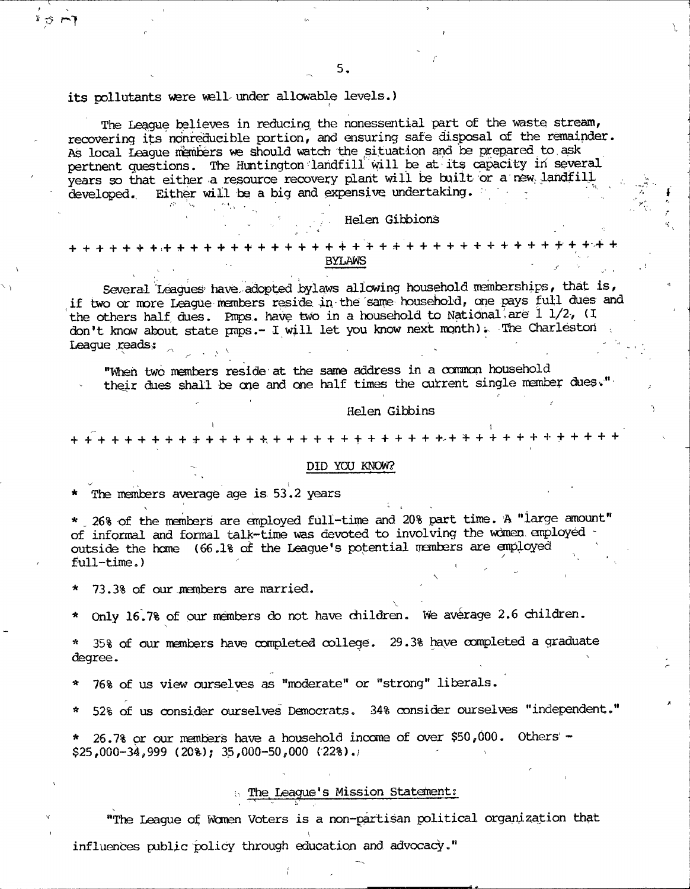#### **its pollutants v^re well mder allowable levels.)**

r-1

**The League believes in reducing the nonessential part of the waste stream,** recovering its nonreducible portion, and ensuring safe disposal of the remainder. As local League members we should watch the situation and be prepared to ask **pertnent questions. The Huntington landfill mil be at its capacity in several years so that either a resource recovery plant will be built or a new; landfill** developed. Either will be a big and expensive undertaking.

#### **; Helen Gibbions**

# **+ + + + + + +,+ ^ + + + + + + + + + + + + + + + + + + + + + + + + + + + + + +■+ + BYLAWS**

Several Leagues' have adopted bylaws allowing household memberships, that is, **if two or more League members reside, in. the same household, cne ^ys full dues and** the others half dues. Pmps. have two in a household to National are 1 1/2, (I don't know about state pnps.- I will let you know next month). The Charleston League reads;

**"Mieh two members reside at the same address in a ocmmon household** their dues shall be one and one half times the current single member dues."

#### **Helen Gibbins**

#### **1 . + + + + + + + + + + + + + ++, + + + + + + + + + + + + + + + + + -\*• + + + + +**

#### **DID YOU KNOW?**

The members average age is 53.2 years

\* 26% of the members are employed full-time and 20% part time. A "large amount" **of informal and formal talk-time was devoted to involving the wcmen. anployed** outside the home (66.1% of the League's potential members are employed full-time.)

**\* 73.3% of our members are married.**

**X** \* Only 16.7% of our members do not have children. We average 2.6 children.

35% of our members have completed college. 29.3% have completed a graduate **degree.**

**\* 76% of us view ourselves as "moderate" or "strong" liberals.**

**A** *\** **52% of us consider ourselves Democrats. 34% consider ourselves "independent."**

**\* 26.7% or our manbers have a household inccana of over \$50,000. Others' - \$25,000-34,999 ( 20%-); 35,000-50,000 (22%),/**

#### **X The League's Mission Statement:**

**"The League of Wcman Voters is a non-partisan political organisation that** i **influences public policy through education and advocacy."**

**r ?**